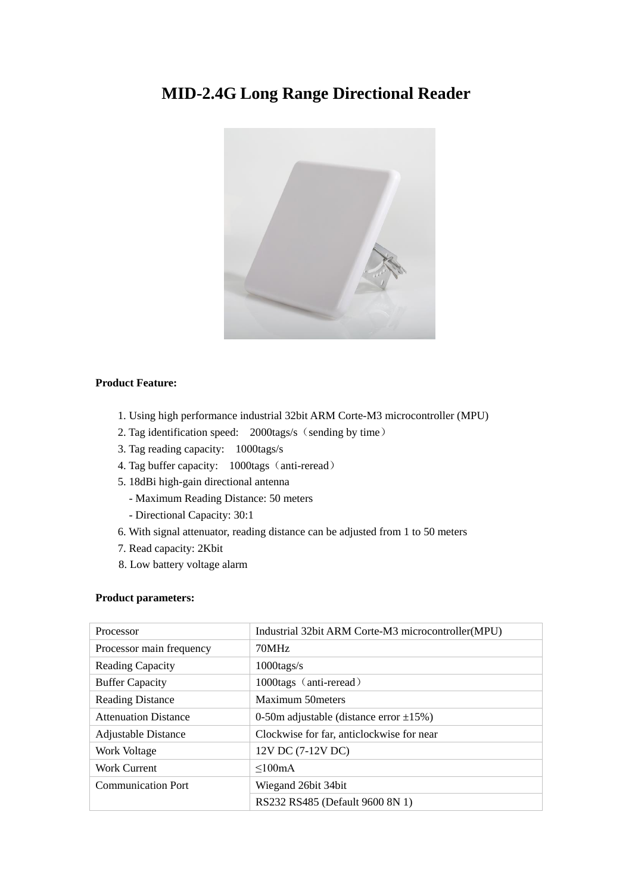# **MID-2.4G Long Range Directional Reader**



# **Product Feature:**

- 1. Using high performance industrial 32bit ARM Corte-M3 microcontroller (MPU)
- 2. Tag identification speed: 2000tags/s (sending by time)
- 3. Tag reading capacity: 1000tags/s
- 4. Tag buffer capacity: 1000tags (anti-reread)
- 5. 18dBi high-gain directional antenna
	- Maximum Reading Distance: 50 meters
	- Directional Capacity: 30:1
- 6. With signal attenuator, reading distance can be adjusted from 1 to 50 meters
- 7. Read capacity: 2Kbit
- 8. Low battery voltage alarm

## **Product parameters:**

| Processor                   | Industrial 32bit ARM Corte-M3 microcontroller (MPU) |
|-----------------------------|-----------------------------------------------------|
| Processor main frequency    | 70MHz                                               |
| <b>Reading Capacity</b>     | $1000 \text{tags/s}$                                |
| <b>Buffer Capacity</b>      | 1000tags (anti-reread)                              |
| <b>Reading Distance</b>     | Maximum 50 meters                                   |
| <b>Attenuation Distance</b> | 0-50m adjustable (distance error $\pm$ 15%)         |
| <b>Adjustable Distance</b>  | Clockwise for far, anticlockwise for near           |
| Work Voltage                | 12V DC (7-12V DC)                                   |
| Work Current                | $\leq 100 \text{mA}$                                |
| <b>Communication Port</b>   | Wiegand 26 bit 34 bit                               |
|                             | RS232 RS485 (Default 9600 8N 1)                     |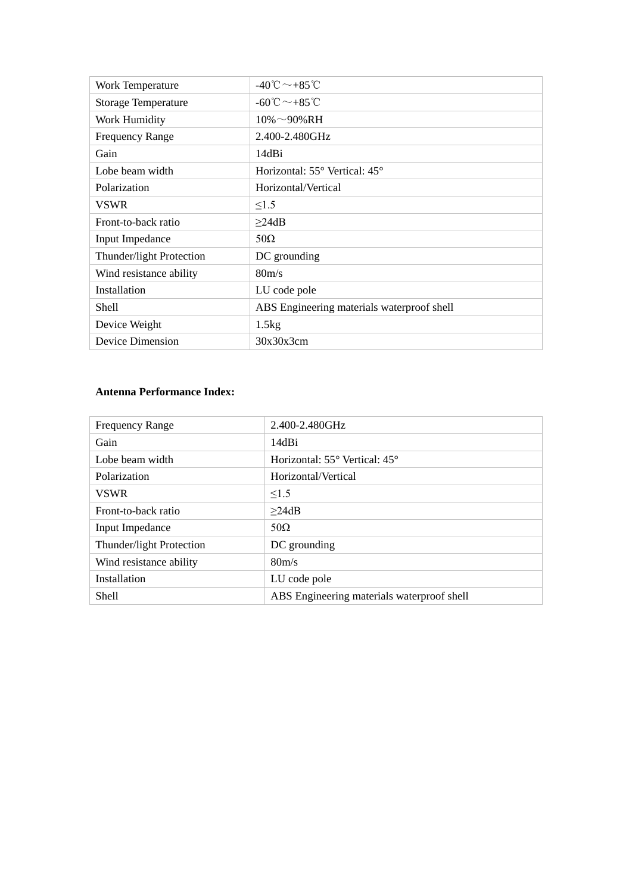| Work Temperature           | $-40^{\circ}\text{C} \sim +85^{\circ}\text{C}$  |
|----------------------------|-------------------------------------------------|
| <b>Storage Temperature</b> | $-60^{\circ}$ C $\sim$ $+85^{\circ}$ C          |
| Work Humidity              | $10\% \sim 90\% RH$                             |
| <b>Frequency Range</b>     | 2.400-2.480GHz                                  |
| Gain                       | 14dBi                                           |
| Lobe beam width            | Horizontal: $55^{\circ}$ Vertical: $45^{\circ}$ |
| Polarization               | Horizontal/Vertical                             |
| <b>VSWR</b>                | $\leq1.5$                                       |
| Front-to-back ratio        | $\geq$ 24dB                                     |
| <b>Input Impedance</b>     | $50\Omega$                                      |
| Thunder/light Protection   | DC grounding                                    |
| Wind resistance ability    | 80 <sub>m/s</sub>                               |
| Installation               | LU code pole                                    |
| Shell                      | ABS Engineering materials waterproof shell      |
| Device Weight              | 1.5kg                                           |
| Device Dimension           | 30x30x3cm                                       |

# **Antenna Performance Index:**

| <b>Frequency Range</b>   | 2.400-2.480GHz                                  |
|--------------------------|-------------------------------------------------|
| Gain                     | 14dBi                                           |
| Lobe beam width          | Horizontal: $55^{\circ}$ Vertical: $45^{\circ}$ |
| Polarization             | Horizontal/Vertical                             |
| <b>VSWR</b>              | $\leq 1.5$                                      |
| Front-to-back ratio      | $\geq$ 24dB                                     |
| <b>Input Impedance</b>   | $50\Omega$                                      |
| Thunder/light Protection | DC grounding                                    |
| Wind resistance ability  | 80 <sub>m/s</sub>                               |
| Installation             | LU code pole                                    |
| Shell                    | ABS Engineering materials waterproof shell      |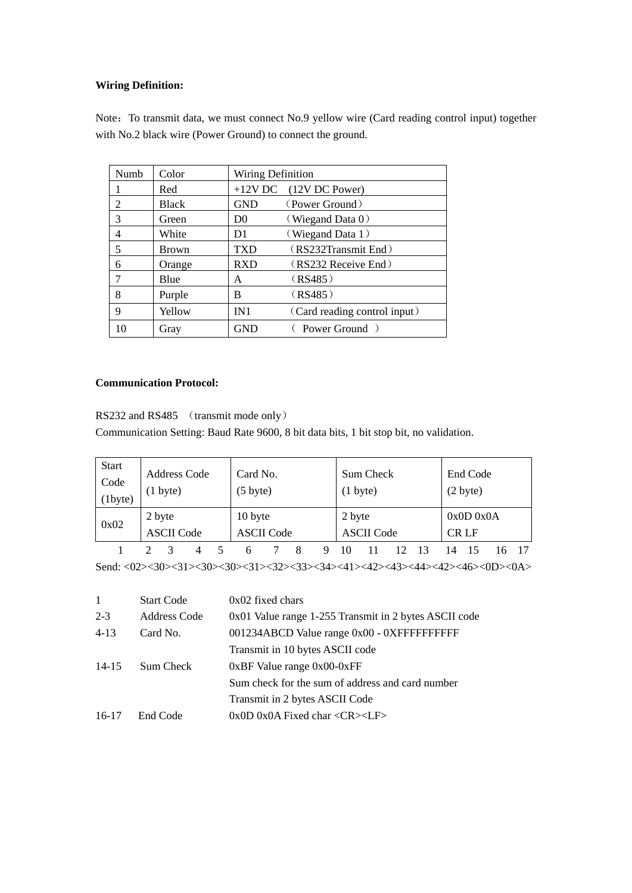## **Wiring Definition:**

Note: To transmit data, we must connect No.9 yellow wire (Card reading control input) together with No.2 black wire (Power Ground) to connect the ground.

| Numb | Color        | <b>Wiring Definition</b> |                              |  |  |  |
|------|--------------|--------------------------|------------------------------|--|--|--|
|      | Red          |                          | $+12V$ DC (12V DC Power)     |  |  |  |
| 2    | <b>Black</b> | <b>GND</b>               | (Power Ground)               |  |  |  |
| 3    | Green        | D <sub>0</sub>           | (Wiegand Data $0$ )          |  |  |  |
| 4    | White        | D1                       | (Wiegand Data 1)             |  |  |  |
| 5    | <b>Brown</b> | TXD                      | (RS232Transmit End)          |  |  |  |
| 6    | Orange       | <b>RXD</b>               | (RS232 Receive End)          |  |  |  |
| 7    | Blue         | A                        | (RS485)                      |  |  |  |
| 8    | Purple       | B                        | (RS485)                      |  |  |  |
| 9    | Yellow       | IN1                      | (Card reading control input) |  |  |  |
| 10   | Gray         | <b>GND</b>               | Power Ground )               |  |  |  |

# **Communication Protocol:**

RS232 and RS485 (transmit mode only)

Communication Setting: Baud Rate 9600, 8 bit data bits, 1 bit stop bit, no validation.

| <b>Start</b><br>Code<br>(1byte) | $(1 \text{ byte})$          | Address Code | Card No.<br>$(5 \text{ byte})$ |                   |  | $(1 \text{ byte})$ | Sum Check         |  | End Code<br>(2 byte) |  |
|---------------------------------|-----------------------------|--------------|--------------------------------|-------------------|--|--------------------|-------------------|--|----------------------|--|
| 0x02                            | 2 byte<br><b>ASCII Code</b> |              | 10 byte                        | <b>ASCII Code</b> |  | 2 byte             | <b>ASCII Code</b> |  | 0x0D0x0A<br>CR LF    |  |
|                                 |                             |              | n                              |                   |  |                    |                   |  |                      |  |

Send: <02><30><31><30><30><31><32><33><34><41><42><43><44><42><46><0D><0A>

| <b>Start Code</b> | $0x02$ fixed chars                                    |
|-------------------|-------------------------------------------------------|
| Address Code      | 0x01 Value range 1-255 Transmit in 2 bytes ASCII code |
| Card No.          | 001234ABCD Value range 0x00 - 0XFFFFFFFFFFF           |
|                   | Transmit in 10 bytes ASCII code                       |
| Sum Check         | $0xBF$ Value range $0x00-0xFF$                        |
|                   | Sum check for the sum of address and card number      |
|                   | Transmit in 2 bytes ASCII Code                        |
| End Code          | $0x0D$ 0x0A Fixed char < $CR$ >< $LP$ >>              |
|                   |                                                       |